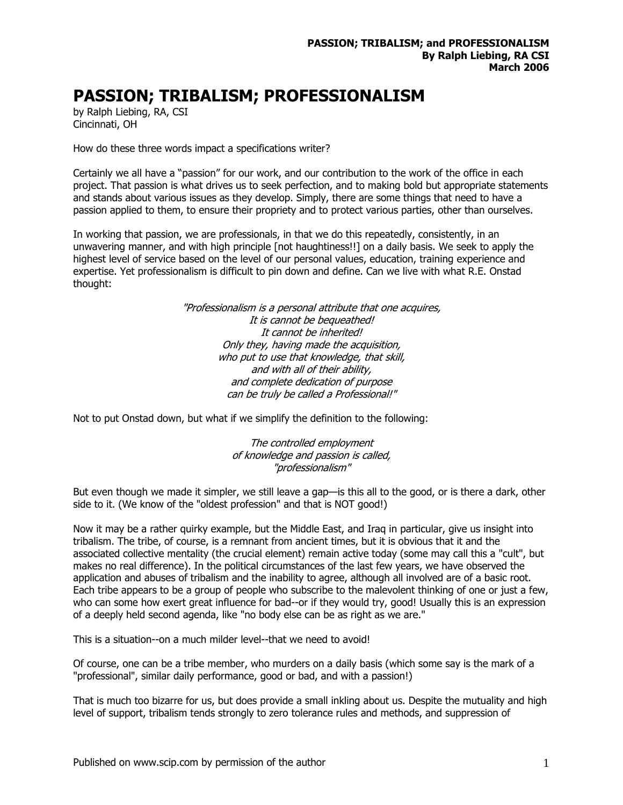## **PASSION; TRIBALISM; PROFESSIONALISM**

by Ralph Liebing, RA, CSI Cincinnati, OH

How do these three words impact a specifications writer?

Certainly we all have a "passion" for our work, and our contribution to the work of the office in each project. That passion is what drives us to seek perfection, and to making bold but appropriate statements and stands about various issues as they develop. Simply, there are some things that need to have a passion applied to them, to ensure their propriety and to protect various parties, other than ourselves.

In working that passion, we are professionals, in that we do this repeatedly, consistently, in an unwavering manner, and with high principle [not haughtiness!!] on a daily basis. We seek to apply the highest level of service based on the level of our personal values, education, training experience and expertise. Yet professionalism is difficult to pin down and define. Can we live with what R.E. Onstad thought:

> "Professionalism is a personal attribute that one acquires, It is cannot be bequeathed! It cannot be inherited! Only they, having made the acquisition, who put to use that knowledge, that skill, and with all of their ability, and complete dedication of purpose can be truly be called a Professional!"

Not to put Onstad down, but what if we simplify the definition to the following:

The controlled employment of knowledge and passion is called, "professionalism"

But even though we made it simpler, we still leave a gap—is this all to the good, or is there a dark, other side to it. (We know of the "oldest profession" and that is NOT good!)

Now it may be a rather quirky example, but the Middle East, and Iraq in particular, give us insight into tribalism. The tribe, of course, is a remnant from ancient times, but it is obvious that it and the associated collective mentality (the crucial element) remain active today (some may call this a "cult", but makes no real difference). In the political circumstances of the last few years, we have observed the application and abuses of tribalism and the inability to agree, although all involved are of a basic root. Each tribe appears to be a group of people who subscribe to the malevolent thinking of one or just a few, who can some how exert great influence for bad--or if they would try, good! Usually this is an expression of a deeply held second agenda, like "no body else can be as right as we are."

This is a situation--on a much milder level--that we need to avoid!

Of course, one can be a tribe member, who murders on a daily basis (which some say is the mark of a "professional", similar daily performance, good or bad, and with a passion!)

That is much too bizarre for us, but does provide a small inkling about us. Despite the mutuality and high level of support, tribalism tends strongly to zero tolerance rules and methods, and suppression of